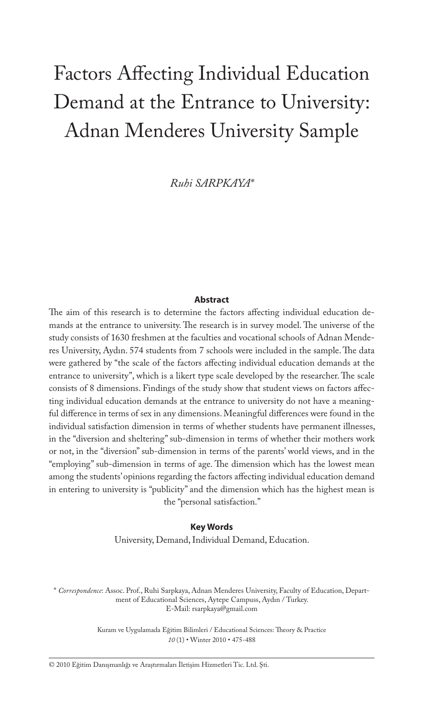# Factors Affecting Individual Education Demand at the Entrance to University: Adnan Menderes University Sample

*Ruhi SARPKAYA\**

#### **Abstract**

The aim of this research is to determine the factors affecting individual education demands at the entrance to university. The research is in survey model. The universe of the study consists of 1630 freshmen at the faculties and vocational schools of Adnan Menderes University, Aydın. 574 students from 7 schools were included in the sample. The data were gathered by "the scale of the factors affecting individual education demands at the entrance to university", which is a likert type scale developed by the researcher. The scale consists of 8 dimensions. Findings of the study show that student views on factors affecting individual education demands at the entrance to university do not have a meaningful difference in terms of sex in any dimensions. Meaningful differences were found in the individual satisfaction dimension in terms of whether students have permanent illnesses, in the "diversion and sheltering" sub-dimension in terms of whether their mothers work or not, in the "diversion" sub-dimension in terms of the parents' world views, and in the "employing" sub-dimension in terms of age. The dimension which has the lowest mean among the students' opinions regarding the factors affecting individual education demand in entering to university is "publicity" and the dimension which has the highest mean is the "personal satisfaction."

#### **Key Words**

University, Demand, Individual Demand, Education.

\* *Correspondence*: Assoc. Prof., Ruhi Sarpkaya, Adnan Menderes University, Faculty of Education, Department of Educational Sciences, Aytepe Campuss, Aydın / Turkey. E-Mail: rsarpkaya@gmail.com

> Kuram ve Uygulamada Eğitim Bilimleri / Educational Sciences: Theory & Practice *10* (1) • Winter 2010 • 475-488

© 2010 Eğitim Danışmanlığı ve Araştırmaları İletişim Hizmetleri Tic. Ltd. Şti.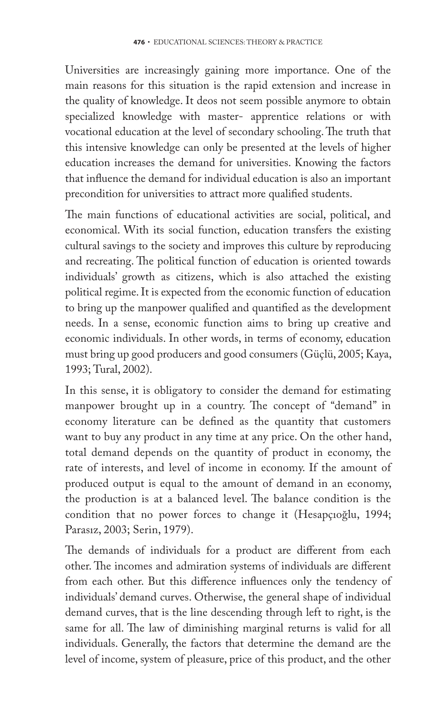Universities are increasingly gaining more importance. One of the main reasons for this situation is the rapid extension and increase in the quality of knowledge. It deos not seem possible anymore to obtain specialized knowledge with master- apprentice relations or with vocational education at the level of secondary schooling. The truth that this intensive knowledge can only be presented at the levels of higher education increases the demand for universities. Knowing the factors that influence the demand for individual education is also an important precondition for universities to attract more qualified students.

The main functions of educational activities are social, political, and economical. With its social function, education transfers the existing cultural savings to the society and improves this culture by reproducing and recreating. The political function of education is oriented towards individuals' growth as citizens, which is also attached the existing political regime. It is expected from the economic function of education to bring up the manpower qualified and quantified as the development needs. In a sense, economic function aims to bring up creative and economic individuals. In other words, in terms of economy, education must bring up good producers and good consumers (Güçlü, 2005; Kaya, 1993; Tural, 2002).

In this sense, it is obligatory to consider the demand for estimating manpower brought up in a country. The concept of "demand" in economy literature can be defined as the quantity that customers want to buy any product in any time at any price. On the other hand, total demand depends on the quantity of product in economy, the rate of interests, and level of income in economy. If the amount of produced output is equal to the amount of demand in an economy, the production is at a balanced level. The balance condition is the condition that no power forces to change it (Hesapçıoğlu, 1994; Parasız, 2003; Serin, 1979).

The demands of individuals for a product are different from each other. The incomes and admiration systems of individuals are different from each other. But this difference influences only the tendency of individuals' demand curves. Otherwise, the general shape of individual demand curves, that is the line descending through left to right, is the same for all. The law of diminishing marginal returns is valid for all individuals. Generally, the factors that determine the demand are the level of income, system of pleasure, price of this product, and the other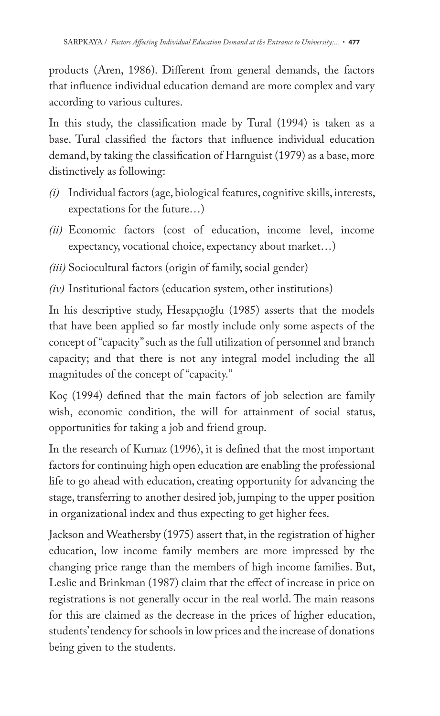products (Aren, 1986). Different from general demands, the factors that influence individual education demand are more complex and vary according to various cultures.

In this study, the classification made by Tural (1994) is taken as a base. Tural classified the factors that influence individual education demand, by taking the classification of Harnguist (1979) as a base, more distinctively as following:

- *(i)* Individual factors (age, biological features, cognitive skills, interests, expectations for the future…)
- *(ii)* Economic factors (cost of education, income level, income expectancy, vocational choice, expectancy about market…)
- *(iii)* Sociocultural factors (origin of family, social gender)
- *(iv)* Institutional factors (education system, other institutions)

In his descriptive study, Hesapçıoğlu (1985) asserts that the models that have been applied so far mostly include only some aspects of the concept of "capacity" such as the full utilization of personnel and branch capacity; and that there is not any integral model including the all magnitudes of the concept of "capacity."

Koç (1994) defined that the main factors of job selection are family wish, economic condition, the will for attainment of social status, opportunities for taking a job and friend group.

In the research of Kurnaz (1996), it is defined that the most important factors for continuing high open education are enabling the professional life to go ahead with education, creating opportunity for advancing the stage, transferring to another desired job, jumping to the upper position in organizational index and thus expecting to get higher fees.

Jackson and Weathersby (1975) assert that, in the registration of higher education, low income family members are more impressed by the changing price range than the members of high income families. But, Leslie and Brinkman (1987) claim that the effect of increase in price on registrations is not generally occur in the real world. The main reasons for this are claimed as the decrease in the prices of higher education, students' tendency for schools in low prices and the increase of donations being given to the students.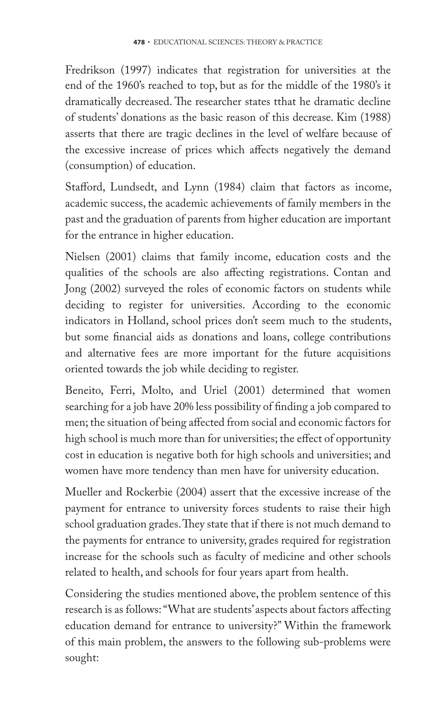Fredrikson (1997) indicates that registration for universities at the end of the 1960's reached to top, but as for the middle of the 1980's it dramatically decreased. The researcher states tthat he dramatic decline of students' donations as the basic reason of this decrease. Kim (1988) asserts that there are tragic declines in the level of welfare because of the excessive increase of prices which affects negatively the demand (consumption) of education.

Stafford, Lundsedt, and Lynn (1984) claim that factors as income, academic success, the academic achievements of family members in the past and the graduation of parents from higher education are important for the entrance in higher education.

Nielsen (2001) claims that family income, education costs and the qualities of the schools are also affecting registrations. Contan and Jong (2002) surveyed the roles of economic factors on students while deciding to register for universities. According to the economic indicators in Holland, school prices don't seem much to the students, but some financial aids as donations and loans, college contributions and alternative fees are more important for the future acquisitions oriented towards the job while deciding to register.

Beneito, Ferri, Molto, and Uriel (2001) determined that women searching for a job have 20% less possibility of finding a job compared to men; the situation of being affected from social and economic factors for high school is much more than for universities; the effect of opportunity cost in education is negative both for high schools and universities; and women have more tendency than men have for university education.

Mueller and Rockerbie (2004) assert that the excessive increase of the payment for entrance to university forces students to raise their high school graduation grades. They state that if there is not much demand to the payments for entrance to university, grades required for registration increase for the schools such as faculty of medicine and other schools related to health, and schools for four years apart from health.

Considering the studies mentioned above, the problem sentence of this research is as follows: "What are students' aspects about factors affecting education demand for entrance to university?" Within the framework of this main problem, the answers to the following sub-problems were sought: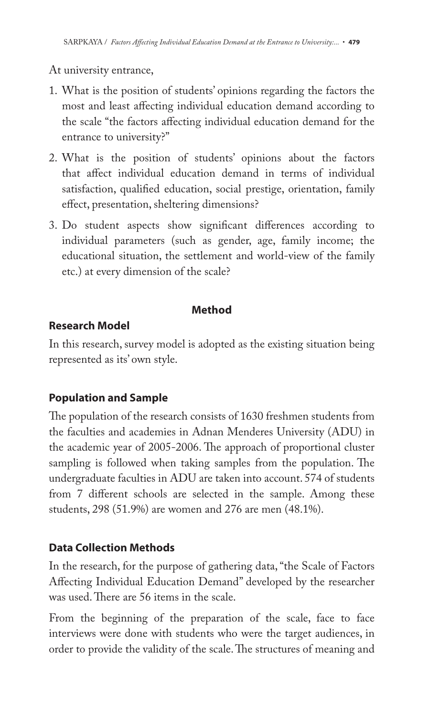At university entrance,

- 1. What is the position of students' opinions regarding the factors the most and least affecting individual education demand according to the scale "the factors affecting individual education demand for the entrance to university?"
- 2. What is the position of students' opinions about the factors that affect individual education demand in terms of individual satisfaction, qualified education, social prestige, orientation, family effect, presentation, sheltering dimensions?
- 3. Do student aspects show significant differences according to individual parameters (such as gender, age, family income; the educational situation, the settlement and world-view of the family etc.) at every dimension of the scale?

#### **Method**

### **Research Model**

In this research, survey model is adopted as the existing situation being represented as its' own style.

# **Population and Sample**

The population of the research consists of 1630 freshmen students from the faculties and academies in Adnan Menderes University (ADU) in the academic year of 2005-2006. The approach of proportional cluster sampling is followed when taking samples from the population. The undergraduate faculties in ADU are taken into account. 574 of students from 7 different schools are selected in the sample. Among these students, 298 (51.9%) are women and 276 are men (48.1%).

# **Data Collection Methods**

In the research, for the purpose of gathering data, "the Scale of Factors Affecting Individual Education Demand" developed by the researcher was used. There are 56 items in the scale.

From the beginning of the preparation of the scale, face to face interviews were done with students who were the target audiences, in order to provide the validity of the scale. The structures of meaning and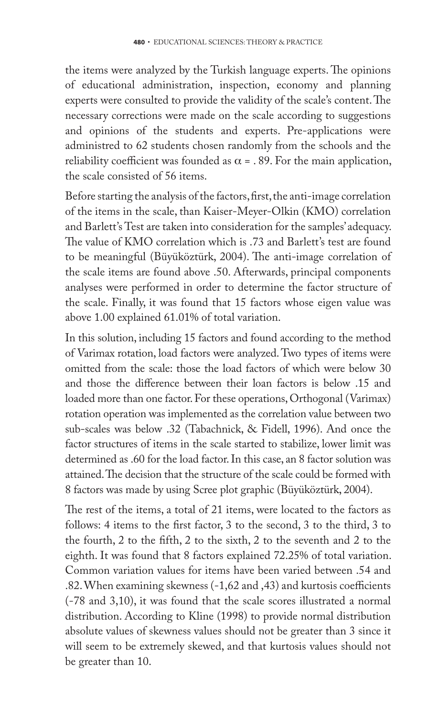the items were analyzed by the Turkish language experts. The opinions of educational administration, inspection, economy and planning experts were consulted to provide the validity of the scale's content. The necessary corrections were made on the scale according to suggestions and opinions of the students and experts. Pre-applications were administred to 62 students chosen randomly from the schools and the reliability coefficient was founded as  $\alpha$  = . 89. For the main application, the scale consisted of 56 items.

Before starting the analysis of the factors, first, the anti-image correlation of the items in the scale, than Kaiser-Meyer-Olkin (KMO) correlation and Barlett's Test are taken into consideration for the samples' adequacy. The value of KMO correlation which is .73 and Barlett's test are found to be meaningful (Büyüköztürk, 2004). The anti-image correlation of the scale items are found above .50. Afterwards, principal components analyses were performed in order to determine the factor structure of the scale. Finally, it was found that 15 factors whose eigen value was above 1.00 explained 61.01% of total variation.

In this solution, including 15 factors and found according to the method of Varimax rotation, load factors were analyzed. Two types of items were omitted from the scale: those the load factors of which were below 30 and those the difference between their loan factors is below .15 and loaded more than one factor. For these operations, Orthogonal (Varimax) rotation operation was implemented as the correlation value between two sub-scales was below .32 (Tabachnick, & Fidell, 1996). And once the factor structures of items in the scale started to stabilize, lower limit was determined as .60 for the load factor. In this case, an 8 factor solution was attained. The decision that the structure of the scale could be formed with 8 factors was made by using Scree plot graphic (Büyüköztürk, 2004).

The rest of the items, a total of 21 items, were located to the factors as follows: 4 items to the first factor, 3 to the second, 3 to the third, 3 to the fourth,  $2$  to the fifth,  $2$  to the sixth,  $2$  to the seventh and  $2$  to the eighth. It was found that 8 factors explained 72.25% of total variation. Common variation values for items have been varied between .54 and .82. When examining skewness  $(-1,62 \text{ and } 4,3)$  and kurtosis coefficients (-78 and 3,10), it was found that the scale scores illustrated a normal distribution. According to Kline (1998) to provide normal distribution absolute values of skewness values should not be greater than 3 since it will seem to be extremely skewed, and that kurtosis values should not be greater than 10.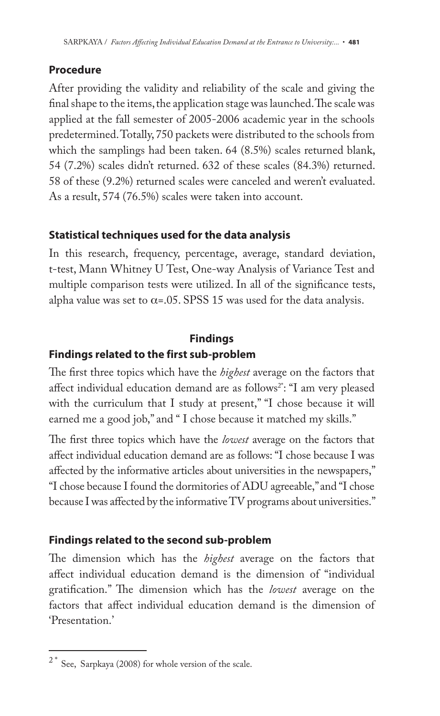### **Procedure**

After providing the validity and reliability of the scale and giving the final shape to the items, the application stage was launched. The scale was applied at the fall semester of 2005-2006 academic year in the schools predetermined. Totally, 750 packets were distributed to the schools from which the samplings had been taken. 64 (8.5%) scales returned blank, 54 (7.2%) scales didn't returned. 632 of these scales (84.3%) returned. 58 of these (9.2%) returned scales were canceled and weren't evaluated. As a result, 574 (76.5%) scales were taken into account.

### **Statistical techniques used for the data analysis**

In this research, frequency, percentage, average, standard deviation, t-test, Mann Whitney U Test, One-way Analysis of Variance Test and multiple comparison tests were utilized. In all of the significance tests, alpha value was set to  $\alpha$ =.05. SPSS 15 was used for the data analysis.

# **Findings Findings related to the first sub-problem**

The first three topics which have the *highest* average on the factors that affect individual education demand are as follows<sup>2\*</sup>: "I am very pleased with the curriculum that I study at present," "I chose because it will earned me a good job," and " I chose because it matched my skills."

The first three topics which have the *lowest* average on the factors that affect individual education demand are as follows: "I chose because I was affected by the informative articles about universities in the newspapers," "I chose because I found the dormitories of ADU agreeable," and "I chose because I was affected by the informative TV programs about universities."

### **Findings related to the second sub-problem**

The dimension which has the *highest* average on the factors that affect individual education demand is the dimension of "individual gratification." The dimension which has the *lowest* average on the factors that affect individual education demand is the dimension of 'Presentation.'

 $2^*$  See, Sarpkaya (2008) for whole version of the scale.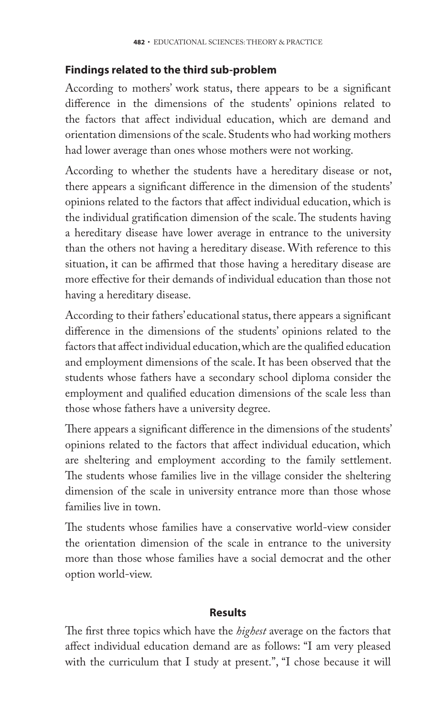#### **Findings related to the third sub-problem**

According to mothers' work status, there appears to be a significant difference in the dimensions of the students' opinions related to the factors that affect individual education, which are demand and orientation dimensions of the scale. Students who had working mothers had lower average than ones whose mothers were not working.

According to whether the students have a hereditary disease or not, there appears a significant difference in the dimension of the students' opinions related to the factors that affect individual education, which is the individual gratification dimension of the scale. The students having a hereditary disease have lower average in entrance to the university than the others not having a hereditary disease. With reference to this situation, it can be affirmed that those having a hereditary disease are more effective for their demands of individual education than those not having a hereditary disease.

According to their fathers' educational status, there appears a significant difference in the dimensions of the students' opinions related to the factors that affect individual education, which are the qualified education and employment dimensions of the scale. It has been observed that the students whose fathers have a secondary school diploma consider the employment and qualified education dimensions of the scale less than those whose fathers have a university degree.

There appears a significant difference in the dimensions of the students' opinions related to the factors that affect individual education, which are sheltering and employment according to the family settlement. The students whose families live in the village consider the sheltering dimension of the scale in university entrance more than those whose families live in town.

The students whose families have a conservative world-view consider the orientation dimension of the scale in entrance to the university more than those whose families have a social democrat and the other option world-view.

#### **Results**

The first three topics which have the *highest* average on the factors that affect individual education demand are as follows: "I am very pleased with the curriculum that I study at present.", "I chose because it will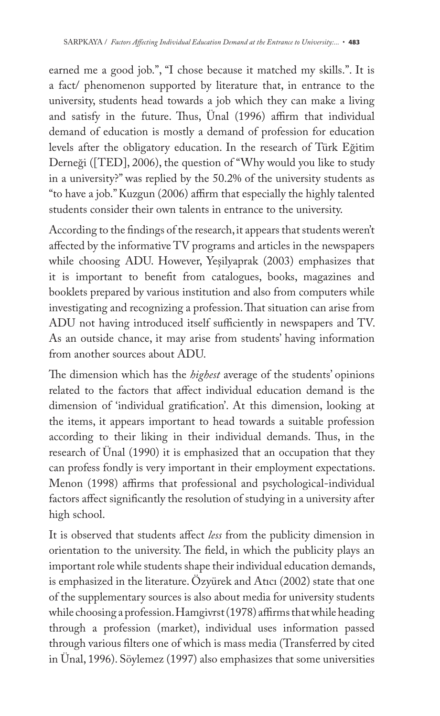earned me a good job.", "I chose because it matched my skills.". It is a fact/ phenomenon supported by literature that, in entrance to the university, students head towards a job which they can make a living and satisfy in the future. Thus, Ünal (1996) affirm that individual demand of education is mostly a demand of profession for education levels after the obligatory education. In the research of Türk Eğitim Derneği ([TED], 2006), the question of "Why would you like to study in a university?" was replied by the 50.2% of the university students as "to have a job." Kuzgun (2006) affirm that especially the highly talented students consider their own talents in entrance to the university.

According to the findings of the research, it appears that students weren't affected by the informative TV programs and articles in the newspapers while choosing ADU. However, Yeşilyaprak (2003) emphasizes that it is important to benefit from catalogues, books, magazines and booklets prepared by various institution and also from computers while investigating and recognizing a profession. That situation can arise from ADU not having introduced itself sufficiently in newspapers and TV. As an outside chance, it may arise from students' having information from another sources about ADU.

The dimension which has the *highest* average of the students' opinions related to the factors that affect individual education demand is the dimension of 'individual gratification'. At this dimension, looking at the items, it appears important to head towards a suitable profession according to their liking in their individual demands. Thus, in the research of Ünal (1990) it is emphasized that an occupation that they can profess fondly is very important in their employment expectations. Menon (1998) affirms that professional and psychological-individual factors affect significantly the resolution of studying in a university after high school.

It is observed that students affect *less* from the publicity dimension in orientation to the university. The field, in which the publicity plays an important role while students shape their individual education demands, is emphasized in the literature. Özyürek and Atıcı (2002) state that one of the supplementary sources is also about media for university students while choosing a profession. Hamgivrst (1978) affirms that while heading through a profession (market), individual uses information passed through various filters one of which is mass media (Transferred by cited in Ünal, 1996). Söylemez (1997) also emphasizes that some universities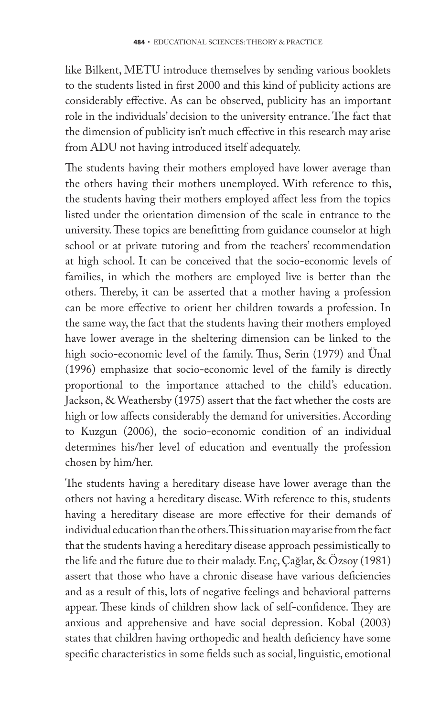like Bilkent, METU introduce themselves by sending various booklets to the students listed in first 2000 and this kind of publicity actions are considerably effective. As can be observed, publicity has an important role in the individuals' decision to the university entrance. The fact that the dimension of publicity isn't much effective in this research may arise from ADU not having introduced itself adequately.

The students having their mothers employed have lower average than the others having their mothers unemployed. With reference to this, the students having their mothers employed affect less from the topics listed under the orientation dimension of the scale in entrance to the university. These topics are benefitting from guidance counselor at high school or at private tutoring and from the teachers' recommendation at high school. It can be conceived that the socio-economic levels of families, in which the mothers are employed live is better than the others. Thereby, it can be asserted that a mother having a profession can be more effective to orient her children towards a profession. In the same way, the fact that the students having their mothers employed have lower average in the sheltering dimension can be linked to the high socio-economic level of the family. Thus, Serin (1979) and Ünal (1996) emphasize that socio-economic level of the family is directly proportional to the importance attached to the child's education. Jackson, & Weathersby (1975) assert that the fact whether the costs are high or low affects considerably the demand for universities. According to Kuzgun (2006), the socio-economic condition of an individual determines his/her level of education and eventually the profession chosen by him/her.

The students having a hereditary disease have lower average than the others not having a hereditary disease. With reference to this, students having a hereditary disease are more effective for their demands of individual education than the others. This situation may arise from the fact that the students having a hereditary disease approach pessimistically to the life and the future due to their malady. Enç, Çağlar, & Özsoy (1981) assert that those who have a chronic disease have various deficiencies and as a result of this, lots of negative feelings and behavioral patterns appear. These kinds of children show lack of self-confidence. They are anxious and apprehensive and have social depression. Kobal (2003) states that children having orthopedic and health deficiency have some specific characteristics in some fields such as social, linguistic, emotional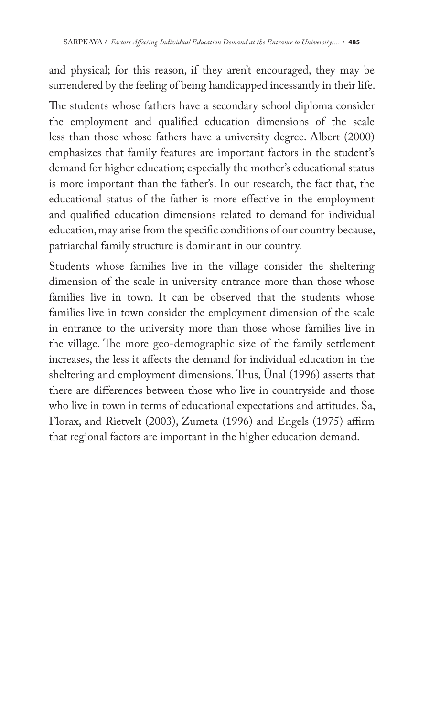and physical; for this reason, if they aren't encouraged, they may be surrendered by the feeling of being handicapped incessantly in their life.

The students whose fathers have a secondary school diploma consider the employment and qualified education dimensions of the scale less than those whose fathers have a university degree. Albert (2000) emphasizes that family features are important factors in the student's demand for higher education; especially the mother's educational status is more important than the father's. In our research, the fact that, the educational status of the father is more effective in the employment and qualified education dimensions related to demand for individual education, may arise from the specific conditions of our country because, patriarchal family structure is dominant in our country.

Students whose families live in the village consider the sheltering dimension of the scale in university entrance more than those whose families live in town. It can be observed that the students whose families live in town consider the employment dimension of the scale in entrance to the university more than those whose families live in the village. The more geo-demographic size of the family settlement increases, the less it affects the demand for individual education in the sheltering and employment dimensions. Thus, Unal (1996) asserts that there are differences between those who live in countryside and those who live in town in terms of educational expectations and attitudes. Sa, Florax, and Rietvelt (2003), Zumeta (1996) and Engels (1975) affirm that regional factors are important in the higher education demand.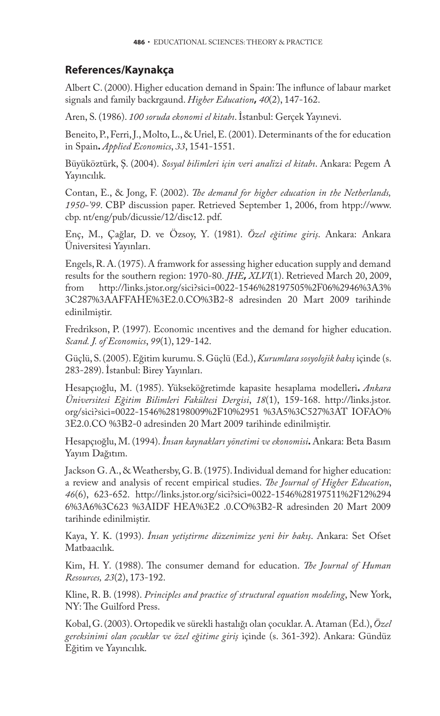#### **References/Kaynakça**

Albert C. (2000). Higher education demand in Spain: The influnce of labaur market signals and family backrgaund. *Higher Education***,** *40*(2), 147-162.

Aren, S. (1986). *100 soruda ekonomi el kitabı*. İstanbul: Gerçek Yayınevi.

Beneito, P., Ferri, J., Molto, L., & Uriel, E. (2001). Determinants of the for education in Spain**.** *Applied Economics*, *33*, 1541-1551.

Büyüköztürk, Ş. (2004). *Sosyal bilimleri için veri analizi el kitabı*. Ankara: Pegem A Yayıncılık.

Contan, E., & Jong, F. (2002). *The demand for higher education in the Netherlands*, *1950-'99*. CBP discussion paper. Retrieved September 1, 2006, from htpp://www. cbp. nt/eng/pub/dicussie/12/disc12. pdf.

Enç, M., Çağlar, D. ve Özsoy, Y. (1981). *Özel eğitime giriş*. Ankara: Ankara Üniversitesi Yayınları.

Engels, R. A. (1975). A framwork for assessing higher education supply and demand results for the southern region: 1970-80. *JHE***,** *XLVI*(1). Retrieved March 20, 2009, from http://links.jstor.org/sici?sici=0022-1546%28197505%2F06%2946%3A3% 3C287%3AAFFAHE%3E2.0.CO%3B2-8 adresinden 20 Mart 2009 tarihinde edinilmiştir.

Fredrikson, P. (1997). Economic ıncentives and the demand for higher education. *Scand. J. of Economics*, *99*(1), 129-142.

Güçlü, S. (2005). Eğitim kurumu. S. Güçlü (Ed.), *Kurumlara sosyolojik bakış* içinde (s. 283-289). İstanbul: Birey Yayınları.

Hesapçıoğlu, M. (1985). Yükseköğretimde kapasite hesaplama modelleri**.** *Ankara Üniversitesi Eğitim Bilimleri Fakültesi Dergisi*, *18*(1), 159-168. http://links.jstor. org/sici?sici=0022-1546%28198009%2F10%2951 %3A5%3C527%3AT IOFAO% 3E2.0.CO %3B2-0 adresinden 20 Mart 2009 tarihinde edinilmiştir.

Hesapçıoğlu, M. (1994). *İnsan kaynakları yönetimi ve ekonomisi***.** Ankara: Beta Basım Yayım Dağıtım.

Jackson G. A., & Weathersby, G. B. (1975). Individual demand for higher education: a review and analysis of recent empirical studies. *The Journal of Higher Education*, *46*(6), 623-652. http://links.jstor.org/sici?sici=0022-1546%28197511%2F12%294 6%3A6%3C623 %3AIDF HEA%3E2 .0.CO%3B2-R adresinden 20 Mart 2009 tarihinde edinilmiştir.

Kaya, Y. K. (1993). *İnsan yetiştirme düzenimize yeni bir bakış*. Ankara: Set Ofset Matbaacılık.

Kim, H. Y. (1988). The consumer demand for education. *The Journal of Human Resources, 23*(2), 173-192.

Kline, R. B. (1998). *Principles and practice of structural equation modeling*, New York, NY: The Guilford Press.

Kobal, G. (2003). Ortopedik ve sürekli hastalığı olan çocuklar. A. Ataman (Ed.), *Özel gereksinimi olan çocuklar ve özel eğitime giriş* içinde (s. 361-392). Ankara: Gündüz Eğitim ve Yayıncılık.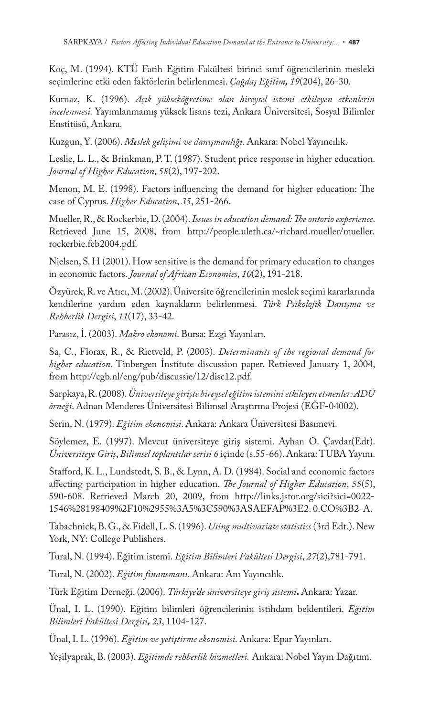Koç, M. (1994). KTÜ Fatih Eğitim Fakültesi birinci sınıf öğrencilerinin mesleki seçimlerine etki eden faktörlerin belirlenmesi. *Çağdaş Eğitim***,** *19*(204), 26-30.

Kurnaz, K. (1996). *Açık yükseköğretime olan bireysel istemi etkileyen etkenlerin incelenmesi.* Yayımlanmamış yüksek lisans tezi, Ankara Üniversitesi, Sosyal Bilimler Enstitüsü, Ankara.

Kuzgun, Y. (2006). *Meslek gelişimi ve danışmanlığı*. Ankara: Nobel Yayıncılık.

Leslie, L. L., & Brinkman, P. T. (1987). Student price response in higher education. *Journal of Higher Education*, *58*(2), 197-202.

Menon, M. E. (1998). Factors influencing the demand for higher education: The case of Cyprus. *Higher Education*, *35*, 251-266.

Mueller, R., & Rockerbie, D. (2004). *Issues in education demand: The ontorio experience*. Retrieved June 15, 2008, from http://people.uleth.ca/~richard.mueller/mueller. rockerbie.feb2004.pdf.

Nielsen, S. H (2001). How sensitive is the demand for primary education to changes in economic factors. *Journal of African Economies*, *10*(2), 191-218.

Özyürek, R. ve Atıcı, M. (2002). Üniversite öğrencilerinin meslek seçimi kararlarında kendilerine yardım eden kaynakların belirlenmesi. *Türk Psikolojik Danışma ve Rehberlik Dergisi*, *11*(17), 33-42.

Parasız, İ. (2003). *Makro ekonomi*. Bursa: Ezgi Yayınları.

Sa, C., Florax, R., & Rietveld, P. (2003). *Determinants of the regional demand for higher education*. Tinbergen İnstitute discussion paper. Retrieved January 1, 2004, from http://cgb.nl/eng/pub/discussie/12/disc12.pdf.

Sarpkaya, R. (2008). *Üniversiteye girişte bireysel eğitim istemini etkileyen etmenler: ADÜ örneği*. Adnan Menderes Üniversitesi Bilimsel Araştırma Projesi (EĞF-04002).

Serin, N. (1979). *Eğitim ekonomisi*. Ankara: Ankara Üniversitesi Basımevi.

Söylemez, E. (1997). Mevcut üniversiteye giriş sistemi. Ayhan O. Çavdar(Edt). *Üniversiteye Giriş*, *Bilimsel toplantılar serisi 6* içinde (s.55-66). Ankara: TUBA Yayını.

Stafford, K. L., Lundstedt, S. B., & Lynn, A. D. (1984). Social and economic factors affecting participation in higher education. *The Journal of Higher Education*, 55(5), 590-608. Retrieved March 20, 2009, from http://links.jstor.org/sici?sici=0022- 1546%28198409%2F10%2955%3A5%3C590%3ASAEFAP%3E2. 0.CO%3B2-A.

Tabachnick, B. G., & Fidell, L. S. (1996). *Using multivariate statistics* (3rd Edt.). New York, NY: College Publishers.

Tural, N. (1994). Eğitim istemi. *Eğitim Bilimleri Fakültesi Dergisi*, *27*(2),781-791.

Tural, N. (2002). *Eğitim finansmanı*. Ankara: Anı Yayıncılık.

Türk Eğitim Derneği. (2006). *Türkiye'de üniversiteye giriş sistemi***.** Ankara: Yazar.

Ünal, I. L. (1990). Eğitim bilimleri öğrencilerinin istihdam beklentileri. *Eğitim Bilimleri Fakültesi Dergisi***,** *23*, 1104-127.

Ünal, I. L. (1996). *Eğitim ve yetiştirme ekonomisi*. Ankara: Epar Yayınları.

Yeşilyaprak, B. (2003). *Eğitimde rehberlik hizmetleri.* Ankara: Nobel Yayın Dağıtım.